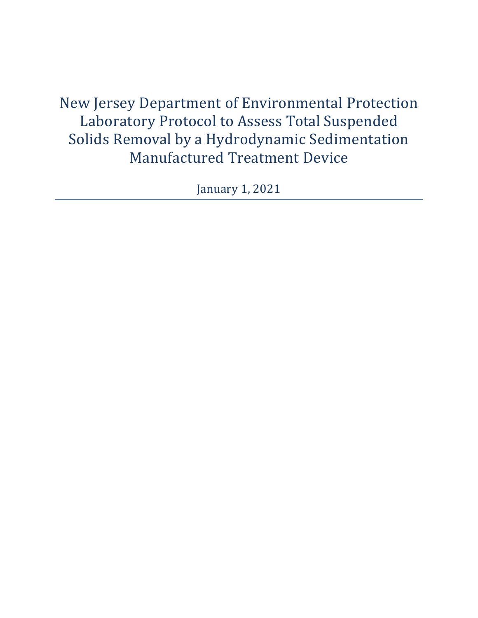New Jersey Department of Environmental Protection Laboratory Protocol to Assess Total Suspended Solids Removal by a Hydrodynamic Sedimentation Manufactured Treatment Device

January 1, 2021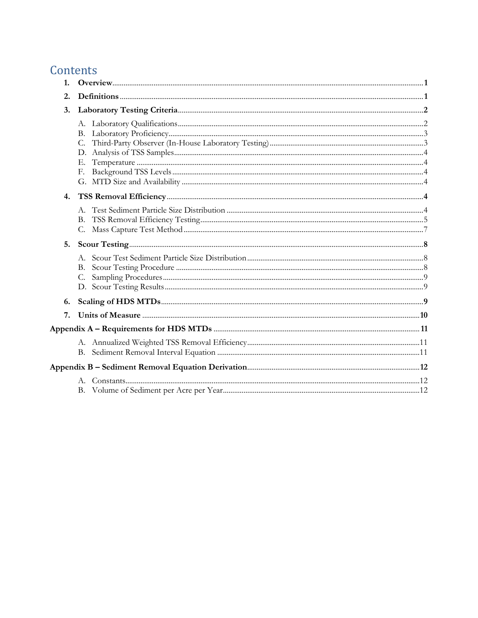# Contents

| $\mathbf{1}$ |    |  |  |
|--------------|----|--|--|
| 2.           |    |  |  |
| 3.           |    |  |  |
|              |    |  |  |
|              |    |  |  |
|              |    |  |  |
|              |    |  |  |
|              | Е. |  |  |
|              | F. |  |  |
|              |    |  |  |
| 4.           |    |  |  |
|              |    |  |  |
|              | В. |  |  |
|              | C. |  |  |
| 5.           |    |  |  |
|              |    |  |  |
|              | В. |  |  |
|              | C. |  |  |
|              |    |  |  |
| 6.           |    |  |  |
| 7.           |    |  |  |
|              |    |  |  |
|              |    |  |  |
|              |    |  |  |
|              |    |  |  |
|              |    |  |  |
|              |    |  |  |
|              |    |  |  |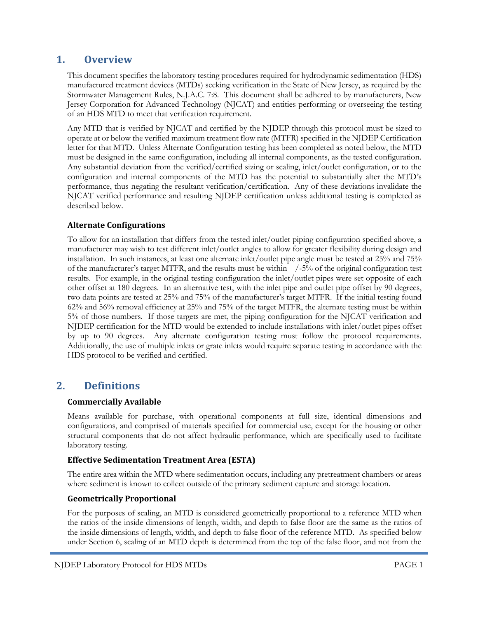#### **1. Overview**

This document specifies the laboratory testing procedures required for hydrodynamic sedimentation (HDS) manufactured treatment devices (MTDs) seeking verification in the State of New Jersey, as required by the Stormwater Management Rules, N.J.A.C. 7:8. This document shall be adhered to by manufacturers, New Jersey Corporation for Advanced Technology (NJCAT) and entities performing or overseeing the testing of an HDS MTD to meet that verification requirement.

Any MTD that is verified by NJCAT and certified by the NJDEP through this protocol must be sized to operate at or below the verified maximum treatment flow rate (MTFR) specified in the NJDEP Certification letter for that MTD. Unless Alternate Configuration testing has been completed as noted below, the MTD must be designed in the same configuration, including all internal components, as the tested configuration. Any substantial deviation from the verified/certified sizing or scaling, inlet/outlet configuration, or to the configuration and internal components of the MTD has the potential to substantially alter the MTD's performance, thus negating the resultant verification/certification. Any of these deviations invalidate the NJCAT verified performance and resulting NJDEP certification unless additional testing is completed as described below.

#### **Alternate Configurations**

To allow for an installation that differs from the tested inlet/outlet piping configuration specified above, a manufacturer may wish to test different inlet/outlet angles to allow for greater flexibility during design and installation. In such instances, at least one alternate inlet/outlet pipe angle must be tested at 25% and 75% of the manufacturer's target MTFR, and the results must be within  $+/-5%$  of the original configuration test results. For example, in the original testing configuration the inlet/outlet pipes were set opposite of each other offset at 180 degrees. In an alternative test, with the inlet pipe and outlet pipe offset by 90 degrees, two data points are tested at 25% and 75% of the manufacturer's target MTFR. If the initial testing found 62% and 56% removal efficiency at 25% and 75% of the target MTFR, the alternate testing must be within 5% of those numbers. If those targets are met, the piping configuration for the NJCAT verification and NJDEP certification for the MTD would be extended to include installations with inlet/outlet pipes offset by up to 90 degrees. Any alternate configuration testing must follow the protocol requirements. Additionally, the use of multiple inlets or grate inlets would require separate testing in accordance with the HDS protocol to be verified and certified.

#### **2. Definitions**

#### **Commercially Available**

Means available for purchase, with operational components at full size, identical dimensions and configurations, and comprised of materials specified for commercial use, except for the housing or other structural components that do not affect hydraulic performance, which are specifically used to facilitate laboratory testing.

#### **Effective Sedimentation Treatment Area (ESTA)**

The entire area within the MTD where sedimentation occurs, including any pretreatment chambers or areas where sediment is known to collect outside of the primary sediment capture and storage location.

#### **Geometrically Proportional**

For the purposes of scaling, an MTD is considered geometrically proportional to a reference MTD when the ratios of the inside dimensions of length, width, and depth to false floor are the same as the ratios of the inside dimensions of length, width, and depth to false floor of the reference MTD. As specified below under Section 6, scaling of an MTD depth is determined from the top of the false floor, and not from the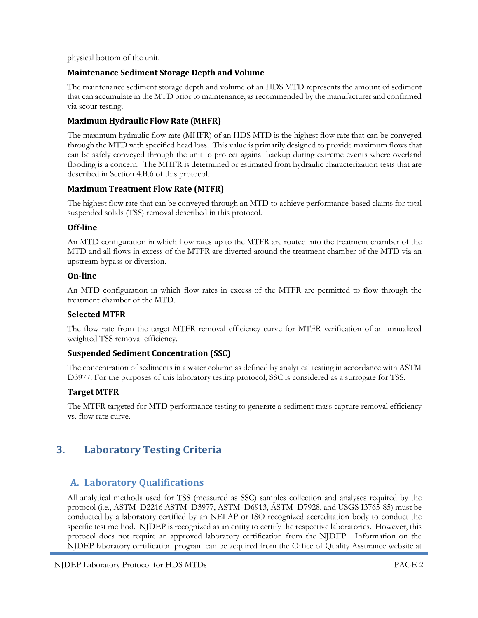physical bottom of the unit.

#### **Maintenance Sediment Storage Depth and Volume**

The maintenance sediment storage depth and volume of an HDS MTD represents the amount of sediment that can accumulate in the MTD prior to maintenance, as recommended by the manufacturer and confirmed via scour testing.

#### **Maximum Hydraulic Flow Rate (MHFR)**

The maximum hydraulic flow rate (MHFR) of an HDS MTD is the highest flow rate that can be conveyed through the MTD with specified head loss. This value is primarily designed to provide maximum flows that can be safely conveyed through the unit to protect against backup during extreme events where overland flooding is a concern. The MHFR is determined or estimated from hydraulic characterization tests that are described in Section 4.B.6 of this protocol.

#### **Maximum Treatment Flow Rate (MTFR)**

The highest flow rate that can be conveyed through an MTD to achieve performance-based claims for total suspended solids (TSS) removal described in this protocol.

#### **Off-line**

An MTD configuration in which flow rates up to the MTFR are routed into the treatment chamber of the MTD and all flows in excess of the MTFR are diverted around the treatment chamber of the MTD via an upstream bypass or diversion.

#### **On-line**

An MTD configuration in which flow rates in excess of the MTFR are permitted to flow through the treatment chamber of the MTD.

#### **Selected MTFR**

The flow rate from the target MTFR removal efficiency curve for MTFR verification of an annualized weighted TSS removal efficiency.

#### **Suspended Sediment Concentration (SSC)**

The concentration of sediments in a water column as defined by analytical testing in accordance with ASTM D3977. For the purposes of this laboratory testing protocol, SSC is considered as a surrogate for TSS.

#### **Target MTFR**

The MTFR targeted for MTD performance testing to generate a sediment mass capture removal efficiency vs. flow rate curve.

## **3. Laboratory Testing Criteria**

## **A. Laboratory Qualifications**

All analytical methods used for TSS (measured as SSC) samples collection and analyses required by the protocol (i.e., ASTM D2216 ASTM D3977, ASTM D6913, ASTM D7928, and USGS I3765-85) must be conducted by a laboratory certified by an NELAP or ISO recognized accreditation body to conduct the specific test method. NJDEP is recognized as an entity to certify the respective laboratories. However, this protocol does not require an approved laboratory certification from the NJDEP. Information on the NJDEP laboratory certification program can be acquired from the Office of Quality Assurance website at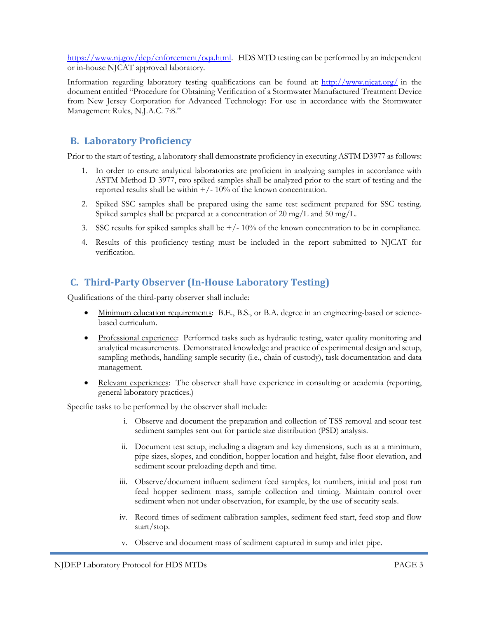[https://www.nj.gov/dep/enforcement/oqa.html.](https://www.nj.gov/dep/enforcement/oqa.html) HDS MTD testing can be performed by an independent or in-house NJCAT approved laboratory.

Information regarding laboratory testing qualifications can be found at: [http://www.njcat.org/](about:blank) in the document entitled "Procedure for Obtaining Verification of a Stormwater Manufactured Treatment Device from New Jersey Corporation for Advanced Technology: For use in accordance with the Stormwater Management Rules, N.J.A.C. 7:8."

#### **B. Laboratory Proficiency**

Prior to the start of testing, a laboratory shall demonstrate proficiency in executing ASTM D3977 as follows:

- 1. In order to ensure analytical laboratories are proficient in analyzing samples in accordance with ASTM Method D 3977, two spiked samples shall be analyzed prior to the start of testing and the reported results shall be within  $+/-10\%$  of the known concentration.
- 2. Spiked SSC samples shall be prepared using the same test sediment prepared for SSC testing. Spiked samples shall be prepared at a concentration of 20 mg/L and 50 mg/L.
- 3. SSC results for spiked samples shall be  $+/-10\%$  of the known concentration to be in compliance.
- 4. Results of this proficiency testing must be included in the report submitted to NJCAT for verification.

## **C. Third-Party Observer (In-House Laboratory Testing)**

Qualifications of the third-party observer shall include:

- Minimum education requirements: B.E., B.S., or B.A. degree in an engineering-based or sciencebased curriculum.
- Professional experience: Performed tasks such as hydraulic testing, water quality monitoring and analytical measurements. Demonstrated knowledge and practice of experimental design and setup, sampling methods, handling sample security (i.e., chain of custody), task documentation and data management.
- Relevant experiences: The observer shall have experience in consulting or academia (reporting, general laboratory practices.)

Specific tasks to be performed by the observer shall include:

- i. Observe and document the preparation and collection of TSS removal and scour test sediment samples sent out for particle size distribution (PSD) analysis.
- ii. Document test setup, including a diagram and key dimensions, such as at a minimum, pipe sizes, slopes, and condition, hopper location and height, false floor elevation, and sediment scour preloading depth and time.
- iii. Observe/document influent sediment feed samples, lot numbers, initial and post run feed hopper sediment mass, sample collection and timing. Maintain control over sediment when not under observation, for example, by the use of security seals.
- iv. Record times of sediment calibration samples, sediment feed start, feed stop and flow start/stop.
- v. Observe and document mass of sediment captured in sump and inlet pipe.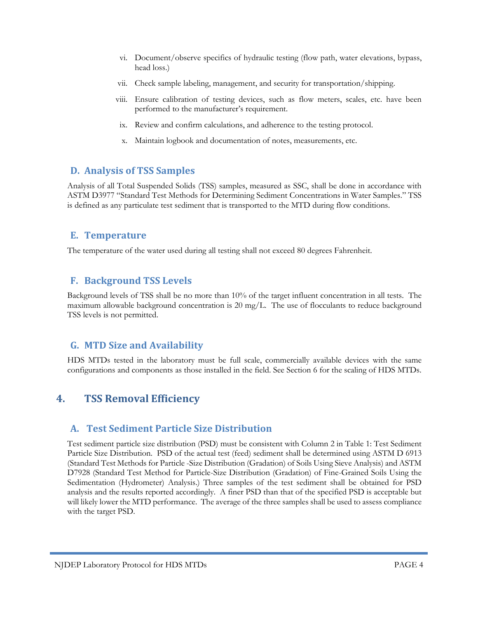- vi. Document/observe specifics of hydraulic testing (flow path, water elevations, bypass, head loss.)
- vii. Check sample labeling, management, and security for transportation/shipping.
- viii. Ensure calibration of testing devices, such as flow meters, scales, etc. have been performed to the manufacturer's requirement.
	- ix. Review and confirm calculations, and adherence to the testing protocol.
	- x. Maintain logbook and documentation of notes, measurements, etc.

#### **D. Analysis of TSS Samples**

Analysis of all Total Suspended Solids (TSS) samples, measured as SSC, shall be done in accordance with ASTM D3977 "Standard Test Methods for Determining Sediment Concentrations in Water Samples." TSS is defined as any particulate test sediment that is transported to the MTD during flow conditions.

#### **E. Temperature**

The temperature of the water used during all testing shall not exceed 80 degrees Fahrenheit.

### **F. Background TSS Levels**

Background levels of TSS shall be no more than 10% of the target influent concentration in all tests. The maximum allowable background concentration is 20 mg/L. The use of flocculants to reduce background TSS levels is not permitted.

#### **G. MTD Size and Availability**

HDS MTDs tested in the laboratory must be full scale, commercially available devices with the same configurations and components as those installed in the field. See Section 6 for the scaling of HDS MTDs.

## **4. TSS Removal Efficiency**

## **A. Test Sediment Particle Size Distribution**

Test sediment particle size distribution (PSD) must be consistent with Column 2 in Table 1: Test Sediment Particle Size Distribution. PSD of the actual test (feed) sediment shall be determined using ASTM D 6913 (Standard Test Methods for Particle -Size Distribution (Gradation) of Soils Using Sieve Analysis) and ASTM D7928 (Standard Test Method for Particle-Size Distribution (Gradation) of Fine-Grained Soils Using the Sedimentation (Hydrometer) Analysis.) Three samples of the test sediment shall be obtained for PSD analysis and the results reported accordingly. A finer PSD than that of the specified PSD is acceptable but will likely lower the MTD performance. The average of the three samples shall be used to assess compliance with the target PSD.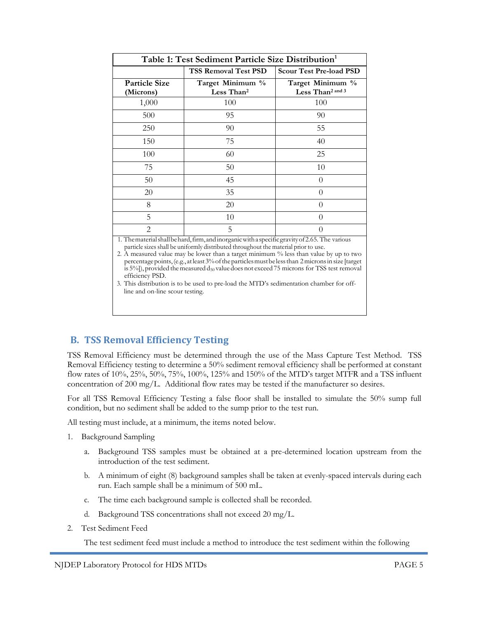| Table 1: Test Sediment Particle Size Distribution <sup>1</sup> |                                                                                                   |                                                  |  |  |  |  |
|----------------------------------------------------------------|---------------------------------------------------------------------------------------------------|--------------------------------------------------|--|--|--|--|
|                                                                | <b>TSS Removal Test PSD</b>                                                                       | <b>Scour Test Pre-load PSD</b>                   |  |  |  |  |
| <b>Particle Size</b><br>(Microns)                              | Target Minimum %<br>Less Than <sup>2</sup>                                                        | Target Minimum %<br>Less Than <sup>2</sup> and 3 |  |  |  |  |
| 1,000                                                          | 100                                                                                               | 100                                              |  |  |  |  |
| 500                                                            | 95                                                                                                | 90                                               |  |  |  |  |
| 250                                                            | 90                                                                                                | 55                                               |  |  |  |  |
| 150                                                            | 75                                                                                                | 40                                               |  |  |  |  |
| 100                                                            | 60                                                                                                | 25                                               |  |  |  |  |
| 75                                                             | 50                                                                                                | 10                                               |  |  |  |  |
| 50                                                             | 45                                                                                                | 0                                                |  |  |  |  |
| 20                                                             | 35                                                                                                | $\mathbf{\Omega}$                                |  |  |  |  |
| 8                                                              | 20                                                                                                |                                                  |  |  |  |  |
| 5                                                              | 10                                                                                                |                                                  |  |  |  |  |
| $\mathcal{D}_{\mathcal{A}}$                                    | 5<br>1 The meterial shall be hard firm and incremientiff a specific original of 2.65 The vertices |                                                  |  |  |  |  |

1. Thematerialshallbehard,firm,andinorganicwithaspecificgravityof2.65. The various particle sizes shall be uniformly distributed throughout the material prior to use.

2. A measured value may be lower than a target minimum % less than value by up to two percentagepoints,(e.g., atleast3%oftheparticlesmustbelessthan 2micronsin size [target is 5%]), provided the measured  $d_{50}$  value does not exceed 75 microns for TSS test removal efficiency PSD.

3. This distribution is to be used to pre-load the MTD's sedimentation chamber for offline and on-line scour testing.

## **B. TSS Removal Efficiency Testing**

TSS Removal Efficiency must be determined through the use of the Mass Capture Test Method. TSS Removal Efficiency testing to determine a 50% sediment removal efficiency shall be performed at constant flow rates of 10%, 25%, 50%, 75%, 100%, 125% and 150% of the MTD's target MTFR and a TSS influent concentration of 200 mg/L. Additional flow rates may be tested if the manufacturer so desires.

For all TSS Removal Efficiency Testing a false floor shall be installed to simulate the 50% sump full condition, but no sediment shall be added to the sump prior to the test run.

All testing must include, at a minimum, the items noted below.

- 1. Background Sampling
	- a. Background TSS samples must be obtained at a pre-determined location upstream from the introduction of the test sediment.
	- b. A minimum of eight (8) background samples shall be taken at evenly-spaced intervals during each run. Each sample shall be a minimum of 500 mL.
	- c. The time each background sample is collected shall be recorded.
	- d. Background TSS concentrations shall not exceed 20 mg/L.
- 2. Test Sediment Feed

The test sediment feed must include a method to introduce the test sediment within the following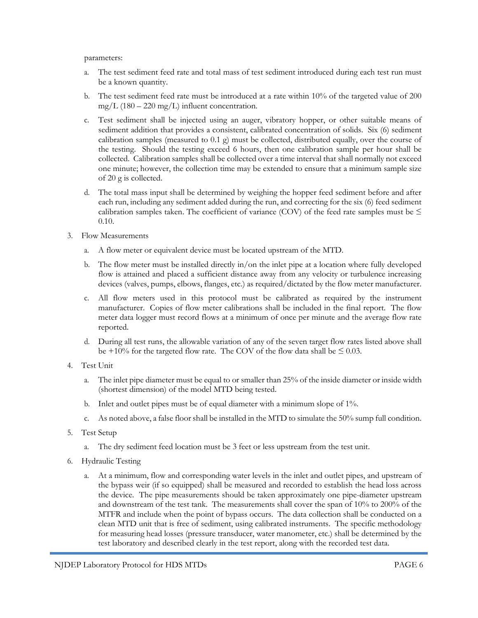parameters:

- a. The test sediment feed rate and total mass of test sediment introduced during each test run must be a known quantity.
- b. The test sediment feed rate must be introduced at a rate within 10% of the targeted value of 200 mg/L  $(180 – 220$  mg/L) influent concentration.
- c. Test sediment shall be injected using an auger, vibratory hopper, or other suitable means of sediment addition that provides a consistent, calibrated concentration of solids. Six (6) sediment calibration samples (measured to 0.1 g) must be collected, distributed equally, over the course of the testing. Should the testing exceed 6 hours, then one calibration sample per hour shall be collected. Calibration samples shall be collected over a time interval that shall normally not exceed one minute; however, the collection time may be extended to ensure that a minimum sample size of 20 g is collected.
- d. The total mass input shall be determined by weighing the hopper feed sediment before and after each run, including any sediment added during the run, and correcting for the six (6) feed sediment calibration samples taken. The coefficient of variance (COV) of the feed rate samples must be  $\leq$ 0.10.
- 3. Flow Measurements
	- a. A flow meter or equivalent device must be located upstream of the MTD.
	- b. The flow meter must be installed directly in/on the inlet pipe at a location where fully developed flow is attained and placed a sufficient distance away from any velocity or turbulence increasing devices (valves, pumps, elbows, flanges, etc.) as required/dictated by the flow meter manufacturer.
	- c. All flow meters used in this protocol must be calibrated as required by the instrument manufacturer. Copies of flow meter calibrations shall be included in the final report. The flow meter data logger must record flows at a minimum of once per minute and the average flow rate reported.
	- d. During all test runs, the allowable variation of any of the seven target flow rates listed above shall be +10% for the targeted flow rate. The COV of the flow data shall be  $\leq 0.03$ .
- 4. Test Unit
	- a. The inlet pipe diameter must be equal to or smaller than 25% of the inside diameter or inside width (shortest dimension) of the model MTD being tested.
	- b. Inlet and outlet pipes must be of equal diameter with a minimum slope of 1%.
	- c. As noted above, a false floor shall be installed in the MTD to simulate the 50% sump full condition.
- 5. Test Setup
	- a. The dry sediment feed location must be 3 feet or less upstream from the test unit.
- 6. Hydraulic Testing
	- a. At a minimum, flow and corresponding water levels in the inlet and outlet pipes, and upstream of the bypass weir (if so equipped) shall be measured and recorded to establish the head loss across the device. The pipe measurements should be taken approximately one pipe-diameter upstream and downstream of the test tank. The measurements shall cover the span of 10% to 200% of the MTFR and include when the point of bypass occurs. The data collection shall be conducted on a clean MTD unit that is free of sediment, using calibrated instruments. The specific methodology for measuring head losses (pressure transducer, water manometer, etc.) shall be determined by the test laboratory and described clearly in the test report, along with the recorded test data.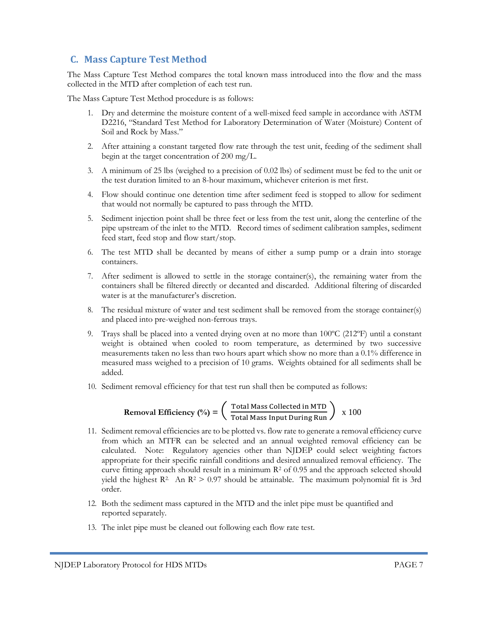## **C. Mass Capture Test Method**

The Mass Capture Test Method compares the total known mass introduced into the flow and the mass collected in the MTD after completion of each test run.

The Mass Capture Test Method procedure is as follows:

- 1. Dry and determine the moisture content of a well-mixed feed sample in accordance with ASTM D2216, "Standard Test Method for Laboratory Determination of Water (Moisture) Content of Soil and Rock by Mass."
- 2. After attaining a constant targeted flow rate through the test unit, feeding of the sediment shall begin at the target concentration of 200 mg/L.
- 3. A minimum of 25 lbs (weighed to a precision of 0.02 lbs) of sediment must be fed to the unit or the test duration limited to an 8-hour maximum, whichever criterion is met first.
- 4. Flow should continue one detention time after sediment feed is stopped to allow for sediment that would not normally be captured to pass through the MTD.
- 5. Sediment injection point shall be three feet or less from the test unit, along the centerline of the pipe upstream of the inlet to the MTD. Record times of sediment calibration samples, sediment feed start, feed stop and flow start/stop.
- 6. The test MTD shall be decanted by means of either a sump pump or a drain into storage containers.
- 7. After sediment is allowed to settle in the storage container(s), the remaining water from the containers shall be filtered directly or decanted and discarded. Additional filtering of discarded water is at the manufacturer's discretion.
- 8. The residual mixture of water and test sediment shall be removed from the storage container(s) and placed into pre-weighed non-ferrous trays.
- 9. Trays shall be placed into a vented drying oven at no more than 100°C (212°F) until a constant weight is obtained when cooled to room temperature, as determined by two successive measurements taken no less than two hours apart which show no more than a 0.1% difference in measured mass weighed to a precision of 10 grams. Weights obtained for all sediments shall be added.
- 10. Sediment removal efficiency for that test run shall then be computed as follows:

**Removal Efficiency** (
$$
\frac{o}{o}
$$
) =  $\left(\frac{\text{Total Mass Collected in MTD}}{\text{Total Mass Input During Run}}\right)$  x 100

- 11. Sediment removal efficiencies are to be plotted vs. flow rate to generate a removal efficiency curve from which an MTFR can be selected and an annual weighted removal efficiency can be calculated. Note: Regulatory agencies other than NJDEP could select weighting factors appropriate for their specific rainfall conditions and desired annualized removal efficiency. The curve fitting approach should result in a minimum  $R<sup>2</sup>$  of 0.95 and the approach selected should yield the highest  $\mathbb{R}^2$ . An  $\mathbb{R}^2 > 0.97$  should be attainable. The maximum polynomial fit is 3rd order.
- 12. Both the sediment mass captured in the MTD and the inlet pipe must be quantified and reported separately.
- 13. The inlet pipe must be cleaned out following each flow rate test.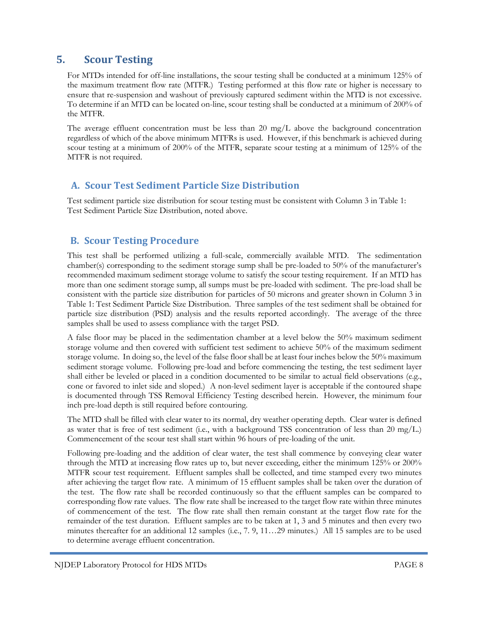## **5. Scour Testing**

For MTDs intended for off-line installations, the scour testing shall be conducted at a minimum 125% of the maximum treatment flow rate (MTFR.) Testing performed at this flow rate or higher is necessary to ensure that re-suspension and washout of previously captured sediment within the MTD is not excessive. To determine if an MTD can be located on-line, scour testing shall be conducted at a minimum of 200% of the MTFR.

The average effluent concentration must be less than 20 mg/L above the background concentration regardless of which of the above minimum MTFRs is used. However, if this benchmark is achieved during scour testing at a minimum of 200% of the MTFR, separate scour testing at a minimum of 125% of the MTFR is not required.

#### **A. Scour Test Sediment Particle Size Distribution**

Test sediment particle size distribution for scour testing must be consistent with Column 3 in Table 1: Test Sediment Particle Size Distribution, noted above.

#### **B. Scour Testing Procedure**

This test shall be performed utilizing a full-scale, commercially available MTD. The sedimentation chamber(s) corresponding to the sediment storage sump shall be pre-loaded to 50% of the manufacturer's recommended maximum sediment storage volume to satisfy the scour testing requirement. If an MTD has more than one sediment storage sump, all sumps must be pre-loaded with sediment. The pre-load shall be consistent with the particle size distribution for particles of 50 microns and greater shown in Column 3 in Table 1: Test Sediment Particle Size Distribution. Three samples of the test sediment shall be obtained for particle size distribution (PSD) analysis and the results reported accordingly. The average of the three samples shall be used to assess compliance with the target PSD.

A false floor may be placed in the sedimentation chamber at a level below the 50% maximum sediment storage volume and then covered with sufficient test sediment to achieve 50% of the maximum sediment storage volume. In doing so, the level of the false floor shall be at least four inches below the 50% maximum sediment storage volume. Following pre-load and before commencing the testing, the test sediment layer shall either be leveled or placed in a condition documented to be similar to actual field observations (e.g., cone or favored to inlet side and sloped.) A non-level sediment layer is acceptable if the contoured shape is documented through TSS Removal Efficiency Testing described herein. However, the minimum four inch pre-load depth is still required before contouring.

The MTD shall be filled with clear water to its normal, dry weather operating depth. Clear water is defined as water that is free of test sediment (i.e., with a background TSS concentration of less than 20 mg/L.) Commencement of the scour test shall start within 96 hours of pre-loading of the unit.

Following pre-loading and the addition of clear water, the test shall commence by conveying clear water through the MTD at increasing flow rates up to, but never exceeding, either the minimum 125% or 200% MTFR scour test requirement. Effluent samples shall be collected, and time stamped every two minutes after achieving the target flow rate. A minimum of 15 effluent samples shall be taken over the duration of the test. The flow rate shall be recorded continuously so that the effluent samples can be compared to corresponding flow rate values. The flow rate shall be increased to the target flow rate within three minutes of commencement of the test. The flow rate shall then remain constant at the target flow rate for the remainder of the test duration. Effluent samples are to be taken at 1, 3 and 5 minutes and then every two minutes thereafter for an additional 12 samples (i.e., 7. 9, 11…29 minutes.) All 15 samples are to be used to determine average effluent concentration.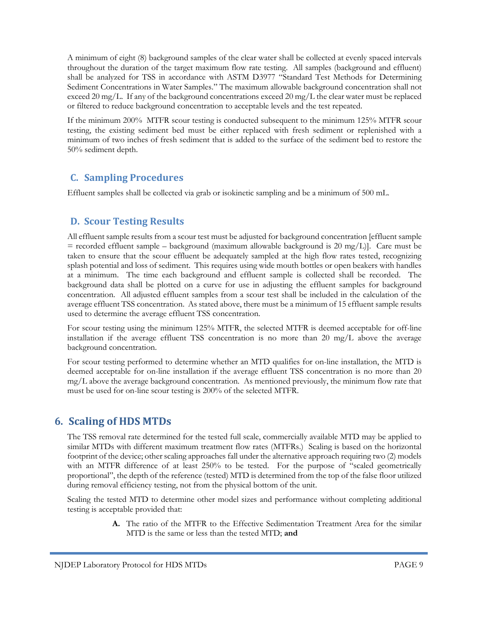A minimum of eight (8) background samples of the clear water shall be collected at evenly spaced intervals throughout the duration of the target maximum flow rate testing. All samples (background and effluent) shall be analyzed for TSS in accordance with ASTM D3977 "Standard Test Methods for Determining Sediment Concentrations in Water Samples." The maximum allowable background concentration shall not exceed 20 mg/L. If any of the background concentrations exceed 20 mg/L the clear water must be replaced or filtered to reduce background concentration to acceptable levels and the test repeated.

If the minimum 200% MTFR scour testing is conducted subsequent to the minimum 125% MTFR scour testing, the existing sediment bed must be either replaced with fresh sediment or replenished with a minimum of two inches of fresh sediment that is added to the surface of the sediment bed to restore the 50% sediment depth.

### **C. Sampling Procedures**

Effluent samples shall be collected via grab or isokinetic sampling and be a minimum of 500 mL.

### **D. Scour Testing Results**

All effluent sample results from a scour test must be adjusted for background concentration [effluent sample  $=$  recorded effluent sample – background (maximum allowable background is 20 mg/L)]. Care must be taken to ensure that the scour effluent be adequately sampled at the high flow rates tested, recognizing splash potential and loss of sediment. This requires using wide mouth bottles or open beakers with handles at a minimum. The time each background and effluent sample is collected shall be recorded. The background data shall be plotted on a curve for use in adjusting the effluent samples for background concentration. All adjusted effluent samples from a scour test shall be included in the calculation of the average effluent TSS concentration. As stated above, there must be a minimum of 15 effluent sample results used to determine the average effluent TSS concentration.

For scour testing using the minimum 125% MTFR, the selected MTFR is deemed acceptable for off-line installation if the average effluent TSS concentration is no more than 20 mg/L above the average background concentration.

For scour testing performed to determine whether an MTD qualifies for on-line installation, the MTD is deemed acceptable for on-line installation if the average effluent TSS concentration is no more than 20 mg/L above the average background concentration. As mentioned previously, the minimum flow rate that must be used for on-line scour testing is 200% of the selected MTFR.

## **6. Scaling of HDS MTDs**

The TSS removal rate determined for the tested full scale, commercially available MTD may be applied to similar MTDs with different maximum treatment flow rates (MTFRs.) Scaling is based on the horizontal footprint of the device; other scaling approaches fall under the alternative approach requiring two (2) models with an MTFR difference of at least 250% to be tested. For the purpose of "scaled geometrically proportional", the depth of the reference (tested) MTD is determined from the top of the false floor utilized during removal efficiency testing, not from the physical bottom of the unit.

Scaling the tested MTD to determine other model sizes and performance without completing additional testing is acceptable provided that:

> **A.** The ratio of the MTFR to the Effective Sedimentation Treatment Area for the similar MTD is the same or less than the tested MTD; **and**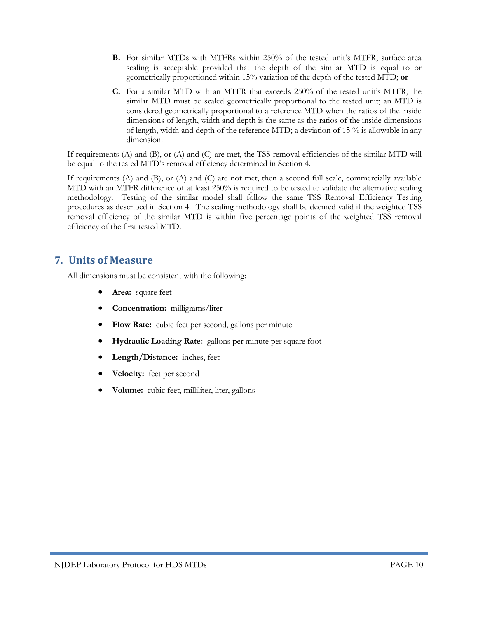- **B.** For similar MTDs with MTFRs within 250% of the tested unit's MTFR, surface area scaling is acceptable provided that the depth of the similar MTD is equal to or geometrically proportioned within 15% variation of the depth of the tested MTD; **or**
- **C.** For a similar MTD with an MTFR that exceeds 250% of the tested unit's MTFR, the similar MTD must be scaled geometrically proportional to the tested unit; an MTD is considered geometrically proportional to a reference MTD when the ratios of the inside dimensions of length, width and depth is the same as the ratios of the inside dimensions of length, width and depth of the reference MTD; a deviation of 15 % is allowable in any dimension.

If requirements (A) and (B), or (A) and (C) are met, the TSS removal efficiencies of the similar MTD will be equal to the tested MTD's removal efficiency determined in Section 4.

If requirements (A) and (B), or (A) and (C) are not met, then a second full scale, commercially available MTD with an MTFR difference of at least 250% is required to be tested to validate the alternative scaling methodology. Testing of the similar model shall follow the same TSS Removal Efficiency Testing procedures as described in Section 4. The scaling methodology shall be deemed valid if the weighted TSS removal efficiency of the similar MTD is within five percentage points of the weighted TSS removal efficiency of the first tested MTD.

### **7. Units of Measure**

All dimensions must be consistent with the following:

- Area: square feet
- **Concentration:** milligrams/liter
- **Flow Rate:** cubic feet per second, gallons per minute
- **Hydraulic Loading Rate:** gallons per minute per square foot
- **Length/Distance:** inches, feet
- **Velocity:** feet per second
- **Volume:** cubic feet, milliliter, liter, gallons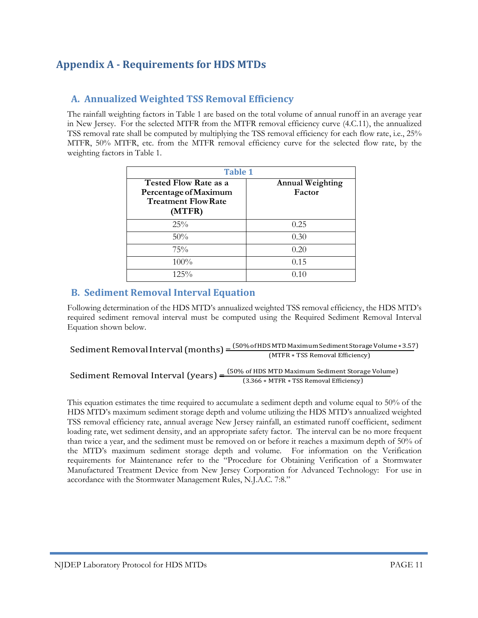## **Appendix A ‐ Requirements for HDS MTDs**

#### **A. Annualized Weighted TSS Removal Efficiency**

The rainfall weighting factors in Table 1 are based on the total volume of annual runoff in an average year in New Jersey. For the selected MTFR from the MTFR removal efficiency curve (4.C.11), the annualized TSS removal rate shall be computed by multiplying the TSS removal efficiency for each flow rate, i.e., 25% MTFR, 50% MTFR, etc. from the MTFR removal efficiency curve for the selected flow rate, by the weighting factors in Table 1.

| <b>Table 1</b>                                                                                |                                   |  |  |  |  |
|-----------------------------------------------------------------------------------------------|-----------------------------------|--|--|--|--|
| <b>Tested Flow Rate as a</b><br>Percentage of Maximum<br><b>Treatment Flow Rate</b><br>(MTFR) | <b>Annual Weighting</b><br>Factor |  |  |  |  |
| 25%                                                                                           | 0.25                              |  |  |  |  |
| 50%                                                                                           | 0.30                              |  |  |  |  |
| 75%                                                                                           | 0.20                              |  |  |  |  |
| 100%                                                                                          | 0.15                              |  |  |  |  |
| $12.5\%$                                                                                      | 0.10                              |  |  |  |  |

#### **B. Sediment Removal Interval Equation**

Following determination of the HDS MTD's annualized weighted TSS removal efficiency, the HDS MTD's required sediment removal interval must be computed using the Required Sediment Removal Interval Equation shown below.

Sediment Removal Interval (months) =  $\frac{(50\% \text{ of HDS} \text{ MTD Maximum Sediment Storage Volume} * 3.57)}{(MTPR\_TSGR) (1.57 \text{ N})}$ (MTFR ∗ TSS Removal Efficiency)

Sediment Removal Interval (years) =  $\frac{(50\% \text{ of HDS} \text{ MTD} \text{ Maximum Sediment Storage Volume})}{(2.366 \text{ MTPR} \cdot \text{TSC Remark} \text{ Germaned term})}$ (3.366 ∗ MTFR ∗ TSS Removal Efficiency)

This equation estimates the time required to accumulate a sediment depth and volume equal to 50% of the HDS MTD's maximum sediment storage depth and volume utilizing the HDS MTD's annualized weighted TSS removal efficiency rate, annual average New Jersey rainfall, an estimated runoff coefficient, sediment loading rate, wet sediment density, and an appropriate safety factor. The interval can be no more frequent than twice a year, and the sediment must be removed on or before it reaches a maximum depth of 50% of the MTD's maximum sediment storage depth and volume. For information on the Verification requirements for Maintenance refer to the "Procedure for Obtaining Verification of a Stormwater Manufactured Treatment Device from New Jersey Corporation for Advanced Technology: For use in accordance with the Stormwater Management Rules, N.J.A.C. 7:8."